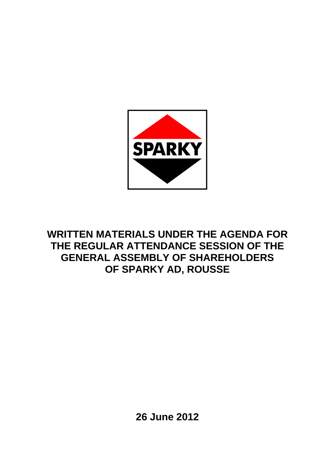

# **WRITTEN MATERIALS UNDER THE AGENDA FOR THE REGULAR ATTENDANCE SESSION OF THE GENERAL ASSEMBLY OF SHAREHOLDERS OF SPARKY AD, ROUSSE**

**26 June 2012**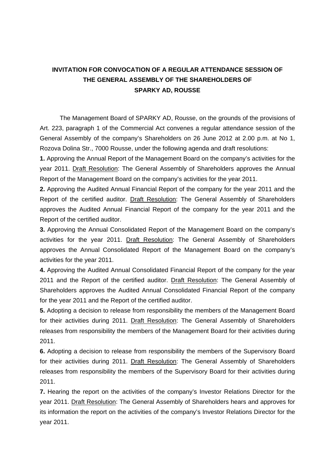# **INVITATION FOR CONVOCATION OF A REGULAR ATTENDANCE SESSION OF THE GENERAL ASSEMBLY OF THE SHAREHOLDERS OF SPARKY AD, ROUSSE**

The Management Board of SPARKY AD, Rousse, on the grounds of the provisions of Art. 223, paragraph 1 of the Commercial Act convenes a regular attendance session of the General Assembly of the company's Shareholders on 26 June 2012 at 2.00 p.m. at No 1, Rozova Dolina Str., 7000 Rousse, under the following agenda and draft resolutions:

**1.** Approving the Annual Report of the Management Board on the company's activities for the year 2011. Draft Resolution: The General Assembly of Shareholders approves the Annual Report of the Management Board on the company's activities for the year 2011.

**2.** Approving the Audited Annual Financial Report of the company for the year 2011 and the Report of the certified auditor. Draft Resolution: The General Assembly of Shareholders approves the Audited Annual Financial Report of the company for the year 2011 and the Report of the certified auditor.

**3.** Approving the Annual Consolidated Report of the Management Board on the company's activities for the year 2011. Draft Resolution: The General Assembly of Shareholders approves the Annual Consolidated Report of the Management Board on the company's activities for the year 2011.

**4.** Approving the Audited Annual Consolidated Financial Report of the company for the year 2011 and the Report of the certified auditor. Draft Resolution: The General Assembly of Shareholders approves the Audited Annual Consolidated Financial Report of the company for the year 2011 and the Report of the certified auditor.

**5.** Adopting a decision to release from responsibility the members of the Management Board for their activities during 2011. Draft Resolution: The General Assembly of Shareholders releases from responsibility the members of the Management Board for their activities during 2011.

**6.** Adopting a decision to release from responsibility the members of the Supervisory Board for their activities during 2011. Draft Resolution: The General Assembly of Shareholders releases from responsibility the members of the Supervisory Board for their activities during 2011.

**7.** Hearing the report on the activities of the company's Investor Relations Director for the year 2011. Draft Resolution: The General Assembly of Shareholders hears and approves for its information the report on the activities of the company's Investor Relations Director for the year 2011.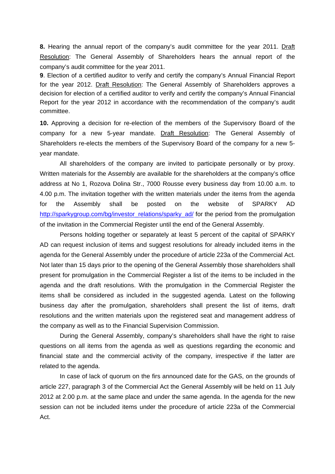**8.** Hearing the annual report of the company's audit committee for the year 2011. Draft Resolution: The General Assembly of Shareholders hears the annual report of the company's audit committee for the year 2011.

**9**. Election of a certified auditor to verify and certify the company's Annual Financial Report for the year 2012. Draft Resolution: The General Assembly of Shareholders approves a decision for election of a certified auditor to verify and certify the company's Annual Financial Report for the year 2012 in accordance with the recommendation of the company's audit committee.

**10.** Approving a decision for re-election of the members of the Supervisory Board of the company for a new 5-year mandate. Draft Resolution: The General Assembly of Shareholders re-elects the members of the Supervisory Board of the company for a new 5 year mandate.

All shareholders of the company are invited to participate personally or by proxy. Written materials for the Assembly are available for the shareholders at the company's office address at No 1, Rozova Dolina Str., 7000 Rousse every business day from 10.00 a.m. to 4.00 p.m. The invitation together with the written materials under the items from the agenda for the Assembly shall be posted on the website of SPARKY AD http://sparkygroup.com/bg/investor\_relations/sparky\_ad/ for the period from the promulgation of the invitation in the Commercial Register until the end of the General Assembly.

Persons holding together or separately at least 5 percent of the capital of SPARKY AD can request inclusion of items and suggest resolutions for already included items in the agenda for the General Assembly under the procedure of article 223a of the Commercial Act. Not later than 15 days prior to the opening of the General Assembly those shareholders shall present for promulgation in the Commercial Register a list of the items to be included in the agenda and the draft resolutions. With the promulgation in the Commercial Register the items shall be considered as included in the suggested agenda. Latest on the following business day after the promulgation, shareholders shall present the list of items, draft resolutions and the written materials upon the registered seat and management address of the company as well as to the Financial Supervision Commission.

During the General Assembly, company's shareholders shall have the right to raise questions on all items from the agenda as well as questions regarding the economic and financial state and the commercial activity of the company, irrespective if the latter are related to the agenda.

In case of lack of quorum on the firs announced date for the GAS, on the grounds of article 227, paragraph 3 of the Commercial Act the General Assembly will be held on 11 July 2012 at 2.00 p.m. at the same place and under the same agenda. In the agenda for the new session can not be included items under the procedure of article 223a of the Commercial Act.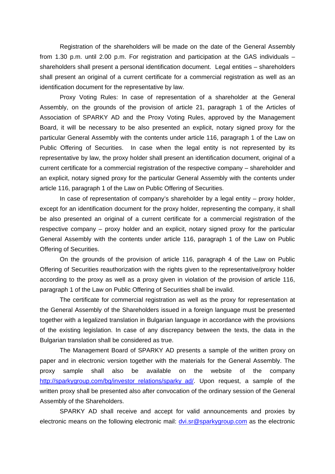Registration of the shareholders will be made on the date of the General Assembly from 1.30 p.m. until 2.00 p.m. For registration and participation at the GAS individuals – shareholders shall present a personal identification document. Legal entities – shareholders shall present an original of a current certificate for a commercial registration as well as an identification document for the representative by law.

Proxy Voting Rules: In case of representation of a shareholder at the General Assembly, on the grounds of the provision of article 21, paragraph 1 of the Articles of Association of SPARKY AD and the Proxy Voting Rules, approved by the Management Board, it will be necessary to be also presented an explicit, notary signed proxy for the particular General Assembly with the contents under article 116, paragraph 1 of the Law on Public Offering of Securities. In case when the legal entity is not represented by its representative by law, the proxy holder shall present an identification document, original of a current certificate for a commercial registration of the respective company – shareholder and an explicit, notary signed proxy for the particular General Assembly with the contents under article 116, paragraph 1 of the Law on Public Offering of Securities.

In case of representation of company's shareholder by a legal entity – proxy holder, except for an identification document for the proxy holder, representing the company, it shall be also presented an original of a current certificate for a commercial registration of the respective company – proxy holder and an explicit, notary signed proxy for the particular General Assembly with the contents under article 116, paragraph 1 of the Law on Public Offering of Securities.

On the grounds of the provision of article 116, paragraph 4 of the Law on Public Offering of Securities reauthorization with the rights given to the representative/proxy holder according to the proxy as well as a proxy given in violation of the provision of article 116, paragraph 1 of the Law on Public Offering of Securities shall be invalid.

The certificate for commercial registration as well as the proxy for representation at the General Assembly of the Shareholders issued in a foreign language must be presented together with a legalized translation in Bulgarian language in accordance with the provisions of the existing legislation. In case of any discrepancy between the texts, the data in the Bulgarian translation shall be considered as true.

The Management Board of SPARKY AD presents a sample of the written proxy on paper and in electronic version together with the materials for the General Assembly. The proxy sample shall also be available on the website of the company http://sparkygroup.com/bg/investor\_relations/sparky\_ad/. Upon request, a sample of the written proxy shall be presented also after convocation of the ordinary session of the General Assembly of the Shareholders.

SPARKY AD shall receive and accept for valid announcements and proxies by electronic means on the following electronic mail: dvi.sr@sparkygroup.com as the electronic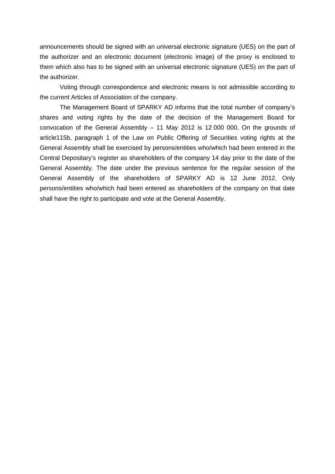announcements should be signed with an universal electronic signature (UES) on the part of the authorizer and an electronic document (electronic image) of the proxy is enclosed to them which also has to be signed with an universal electronic signature (UES) on the part of the authorizer.

Voting through correspondence and electronic means is not admissible according to the current Articles of Association of the company.

The Management Board of SPARKY AD informs that the total number of company's shares and voting rights by the date of the decision of the Management Board for convocation of the General Assembly – 11 May 2012 is 12 000 000. On the grounds of article115b, paragraph 1 of the Law on Public Offering of Securities voting rights at the General Assembly shall be exercised by persons/entities who/which had been entered in the Central Depositary's register as shareholders of the company 14 day prior to the date of the General Assembly. The date under the previous sentence for the regular session of the General Assembly of the shareholders of SPARKY AD is 12 June 2012. Only persons/entities who/which had been entered as shareholders of the company on that date shall have the right to participate and vote at the General Assembly.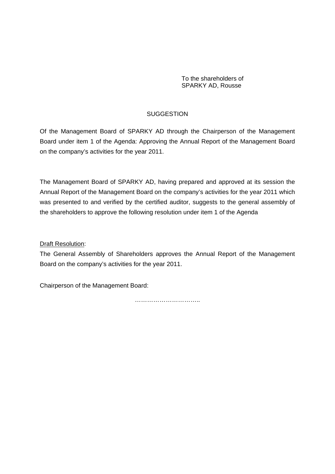# **SUGGESTION**

Of the Management Board of SPARKY AD through the Chairperson of the Management Board under item 1 of the Agenda: Approving the Annual Report of the Management Board on the company's activities for the year 2011.

The Management Board of SPARKY AD, having prepared and approved at its session the Annual Report of the Management Board on the company's activities for the year 2011 which was presented to and verified by the certified auditor, suggests to the general assembly of the shareholders to approve the following resolution under item 1 of the Agenda

# Draft Resolution:

The General Assembly of Shareholders approves the Annual Report of the Management Board on the company's activities for the year 2011.

Chairperson of the Management Board:

………………………………………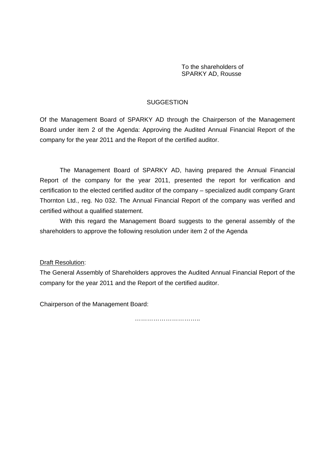#### **SUGGESTION**

Of the Management Board of SPARKY AD through the Chairperson of the Management Board under item 2 of the Agenda: Approving the Audited Annual Financial Report of the company for the year 2011 and the Report of the certified auditor.

The Management Board of SPARKY AD, having prepared the Annual Financial Report of the company for the year 2011, presented the report for verification and certification to the elected certified auditor of the company – specialized audit company Grant Thornton Ltd., reg. No 032. The Annual Financial Report of the company was verified and certified without a qualified statement.

With this regard the Management Board suggests to the general assembly of the shareholders to approve the following resolution under item 2 of the Agenda

Draft Resolution:

The General Assembly of Shareholders approves the Audited Annual Financial Report of the company for the year 2011 and the Report of the certified auditor.

Chairperson of the Management Board: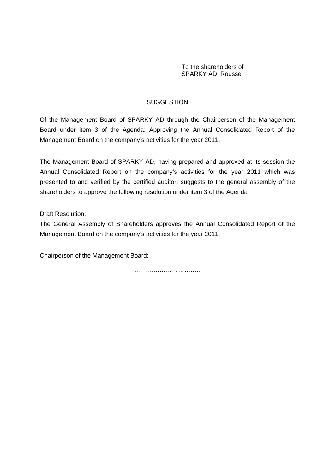# **SUGGESTION**

Of the Management Board of SPARKY AD through the Chairperson of the Management Board under item 3 of the Agenda: Approving the Annual Consolidated Report of the Management Board on the company's activities for the year 2011.

The Management Board of SPARKY AD, having prepared and approved at its session the Annual Consolidated Report on the company's activities for the year 2011 which was presented to and verified by the certified auditor, suggests to the general assembly of the shareholders to approve the following resolution under item 3 of the Agenda

#### Draft Resolution:

The General Assembly of Shareholders approves the Annual Consolidated Report of the Management Board on the company's activities for the year 2011.

Chairperson of the Management Board: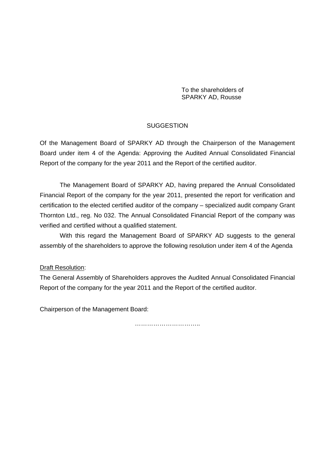#### **SUGGESTION**

Of the Management Board of SPARKY AD through the Chairperson of the Management Board under item 4 of the Agenda: Approving the Audited Annual Consolidated Financial Report of the company for the year 2011 and the Report of the certified auditor.

The Management Board of SPARKY AD, having prepared the Annual Consolidated Financial Report of the company for the year 2011, presented the report for verification and certification to the elected certified auditor of the company – specialized audit company Grant Thornton Ltd., reg. No 032. The Annual Consolidated Financial Report of the company was verified and certified without a qualified statement.

With this regard the Management Board of SPARKY AD suggests to the general assembly of the shareholders to approve the following resolution under item 4 of the Agenda

#### Draft Resolution:

The General Assembly of Shareholders approves the Audited Annual Consolidated Financial Report of the company for the year 2011 and the Report of the certified auditor.

Chairperson of the Management Board: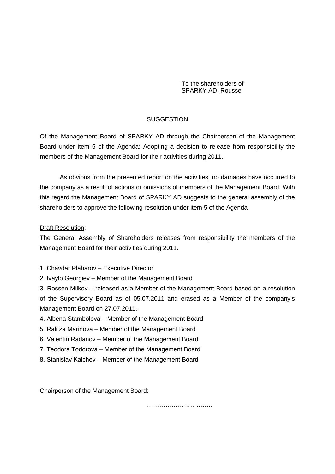# **SUGGESTION**

Of the Management Board of SPARKY AD through the Chairperson of the Management Board under item 5 of the Agenda: Adopting a decision to release from responsibility the members of the Management Board for their activities during 2011.

As obvious from the presented report on the activities, no damages have occurred to the company as a result of actions or omissions of members of the Management Board. With this regard the Management Board of SPARKY AD suggests to the general assembly of the shareholders to approve the following resolution under item 5 of the Agenda

#### Draft Resolution:

The General Assembly of Shareholders releases from responsibility the members of the Management Board for their activities during 2011.

- 1. Chavdar Plaharov Executive Director
- 2. Ivaylo Georgiev Member of the Management Board

3. Rossen Milkov – released as a Member of the Management Board based on a resolution of the Supervisory Board as of 05.07.2011 and erased as a Member of the company's Management Board on 27.07.2011.

- 4. Albena Stambolova Member of the Management Board
- 5. Ralitza Marinova Member of the Management Board
- 6. Valentin Radanov Member of the Management Board
- 7. Teodora Todorova Member of the Management Board
- 8. Stanislav Kalchev Member of the Management Board

Chairperson of the Management Board:

……………………………………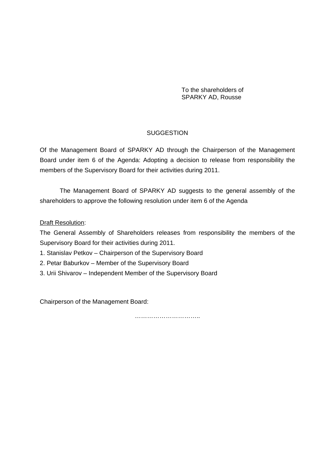# **SUGGESTION**

Of the Management Board of SPARKY AD through the Chairperson of the Management Board under item 6 of the Agenda: Adopting a decision to release from responsibility the members of the Supervisory Board for their activities during 2011.

The Management Board of SPARKY AD suggests to the general assembly of the shareholders to approve the following resolution under item 6 of the Agenda

# **Draft Resolution:**

The General Assembly of Shareholders releases from responsibility the members of the Supervisory Board for their activities during 2011.

- 1. Stanislav Petkov Chairperson of the Supervisory Board
- 2. Petar Baburkov Member of the Supervisory Board
- 3. Urii Shivarov Independent Member of the Supervisory Board

Chairperson of the Management Board: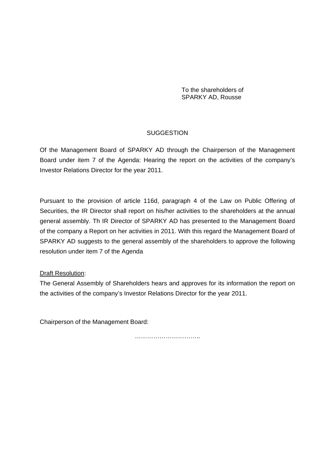# **SUGGESTION**

Of the Management Board of SPARKY AD through the Chairperson of the Management Board under item 7 of the Agenda: Hearing the report on the activities of the company's Investor Relations Director for the year 2011.

Pursuant to the provision of article 116d, paragraph 4 of the Law on Public Offering of Securities, the IR Director shall report on his/her activities to the shareholders at the annual general assembly. Th IR Director of SPARKY AD has presented to the Management Board of the company a Report on her activities in 2011. With this regard the Management Board of SPARKY AD suggests to the general assembly of the shareholders to approve the following resolution under item 7 of the Agenda

# Draft Resolution:

The General Assembly of Shareholders hears and approves for its information the report on the activities of the company's Investor Relations Director for the year 2011.

Chairperson of the Management Board:

…………………………………………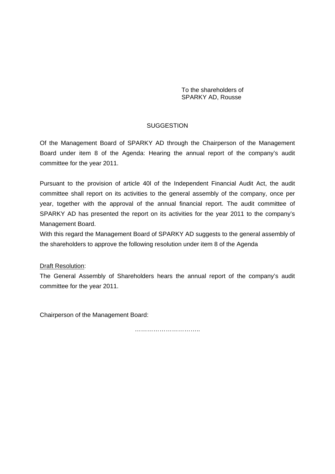# **SUGGESTION**

Of the Management Board of SPARKY AD through the Chairperson of the Management Board under item 8 of the Agenda: Hearing the annual report of the company's audit committee for the year 2011.

Pursuant to the provision of article 40l of the Independent Financial Audit Act, the audit committee shall report on its activities to the general assembly of the company, once per year, together with the approval of the annual financial report. The audit committee of SPARKY AD has presented the report on its activities for the year 2011 to the company's Management Board.

With this regard the Management Board of SPARKY AD suggests to the general assembly of the shareholders to approve the following resolution under item 8 of the Agenda

# Draft Resolution:

The General Assembly of Shareholders hears the annual report of the company's audit committee for the year 2011.

Chairperson of the Management Board: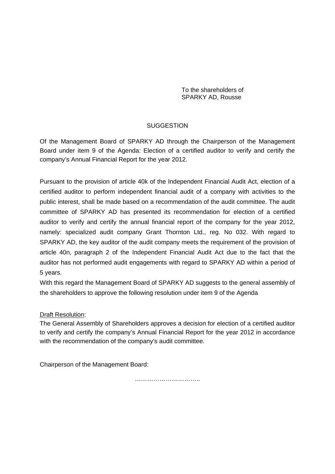# **SUGGESTION**

Of the Management Board of SPARKY AD through the Chairperson of the Management Board under item 9 of the Agenda: Election of a certified auditor to verify and certify the company's Annual Financial Report for the year 2012.

Pursuant to the provision of article 40k of the Independent Financial Audit Act, election of a certified auditor to perform independent financial audit of a company with activities to the public interest, shall be made based on a recommendation of the audit committee. The audit committee of SPARKY AD has presented its recommendation for election of a certified auditor to verify and certify the annual financial report of the company for the year 2012, namely: specialized audit company Grant Thornton Ltd., reg. No 032. With regard to SPARKY AD, the key auditor of the audit company meets the requirement of the provision of article 40n, paragraph 2 of the Independent Financial Audit Act due to the fact that the auditor has not performed audit engagements with regard to SPARKY AD within a period of 5 years.

With this regard the Management Board of SPARKY AD suggests to the general assembly of the shareholders to approve the following resolution under item 9 of the Agenda

# **Draft Resolution:**

The General Assembly of Shareholders approves a decision for election of a certified auditor to verify and certify the company's Annual Financial Report for the year 2012 in accordance with the recommendation of the company's audit committee.

Chairperson of the Management Board: